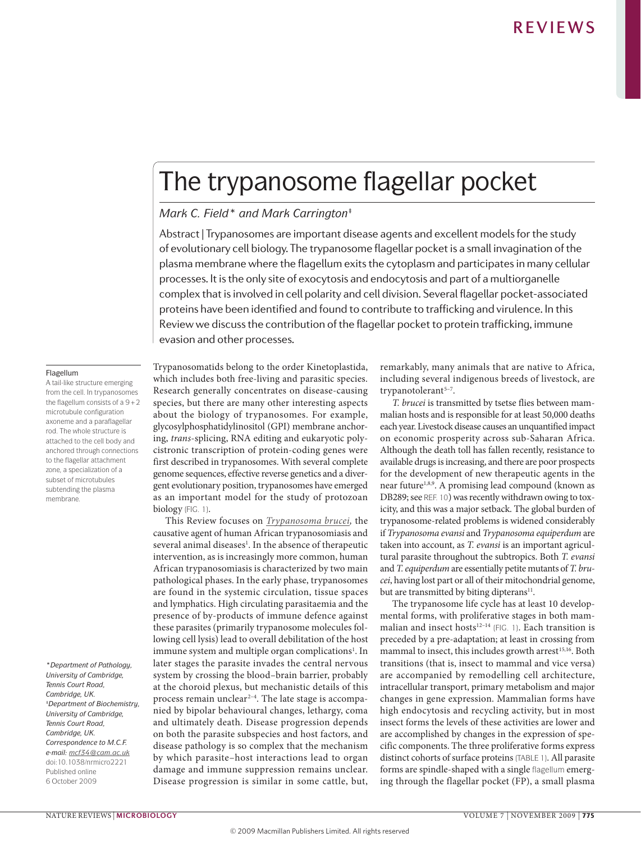# The trypanosome flagellar pocket

# *Mark C. Field\* and Mark Carrington‡*

Abstract | Trypanosomes are important disease agents and excellent models for the study of evolutionary cell biology. The trypanosome flagellar pocket is a small invagination of the plasma membrane where the flagellum exits the cytoplasm and participates in many cellular processes. It is the only site of exocytosis and endocytosis and part of a multiorganelle complex that is involved in cell polarity and cell division. Several flagellar pocket-associated proteins have been identified and found to contribute to trafficking and virulence. In this Review we discuss the contribution of the flagellar pocket to protein trafficking, immune evasion and other processes.

### Flagellum

A tail-like structure emerging from the cell. In trypanosomes the flagellum consists of a  $9+2$ microtubule configuration axoneme and a paraflagellar rod. The whole structure is attached to the cell body and anchored through connections to the flagellar attachment zone, a specialization of a subset of microtubules subtending the plasma membrane.

*\*Department of Pathology, University of Cambridge, Tennis Court Road, Cambridge, UK. ‡Department of Biochemistry, University of Cambridge, Tennis Court Road, Cambridge, UK. Correspondence to M.C.F. e‑mail: [mcf34@cam.ac.uk](mailto:mcf34@cam.ac.uk)* doi:10.1038/nrmicro2221 Published online 6 October 2009

Trypanosomatids belong to the order Kinetoplastida, which includes both free-living and parasitic species. Research generally concentrates on disease-causing species, but there are many other interesting aspects about the biology of trypanosomes. For example, glycosylphosphatidylinositol (GPI) membrane anchoring, *trans*-splicing, RNA editing and eukaryotic polycistronic transcription of protein-coding genes were first described in trypanosomes. With several complete genome sequences, effective reverse genetics and a divergent evolutionary position, trypanosomes have emerged as an important model for the study of protozoan biology (FIG. 1).

This Review focuses on *[Trypanosoma brucei,](http://www.ncbi.nlm.nih.gov/sites/entrez?Db=genomeprj&cmd=ShowDetailView&TermToSearch=9529)* the causative agent of human African trypanosomiasis and several animal diseases<sup>1</sup>. In the absence of therapeutic intervention, as is increasingly more common, human African trypanosomiasis is characterized by two main pathological phases. In the early phase, trypanosomes are found in the systemic circulation, tissue spaces and lymphatics. High circulating parasitaemia and the presence of by-products of immune defence against these parasites (primarily trypanosome molecules following cell lysis) lead to overall debilitation of the host immune system and multiple organ complications<sup>1</sup>. In later stages the parasite invades the central nervous system by crossing the blood–brain barrier, probably at the choroid plexus, but mechanistic details of this process remain unclear<sup> $2-4$ </sup>. The late stage is accompanied by bipolar behavioural changes, lethargy, coma and ultimately death. Disease progression depends on both the parasite subspecies and host factors, and disease pathology is so complex that the mechanism by which parasite–host interactions lead to organ damage and immune suppression remains unclear. Disease progression is similar in some cattle, but,

remarkably, many animals that are native to Africa, including several indigenous breeds of livestock, are trypanotolerant<sup>5-7</sup>.

*T. brucei* is transmitted by tsetse flies between mammalian hosts and is responsible for at least 50,000 deaths each year. Livestock disease causes an unquantified impact on economic prosperity across sub-Saharan Africa. Although the death toll has fallen recently, resistance to available drugs is increasing, and there are poor prospects for the development of new therapeutic agents in the near future<sup>1,8,9</sup>. A promising lead compound (known as DB289; see REF. 10) was recently withdrawn owing to toxicity, and this was a major setback. The global burden of trypanosome-related problems is widened considerably if *Trypanosoma evansi* and *Trypanosoma equiperdum* are taken into account, as *T. evansi* is an important agricultural parasite throughout the subtropics. Both *T. evansi* and *T. equiperdum* are essentially petite mutants of *T. brucei*, having lost part or all of their mitochondrial genome, but are transmitted by biting dipterans<sup>11</sup>.

The trypanosome life cycle has at least 10 developmental forms, with proliferative stages in both mammalian and insect hosts $12-14$  (FIG. 1). Each transition is preceded by a pre-adaptation; at least in crossing from mammal to insect, this includes growth arrest<sup>15,16</sup>. Both transitions (that is, insect to mammal and vice versa) are accompanied by remodelling cell architecture, intracellular transport, primary metabolism and major changes in gene expression. Mammalian forms have high endocytosis and recycling activity, but in most insect forms the levels of these activities are lower and are accomplished by changes in the expression of specific components. The three proliferative forms express distinct cohorts of surface proteins (TABLE 1). All parasite forms are spindle-shaped with a single flagellum emerging through the flagellar pocket (FP), a small plasma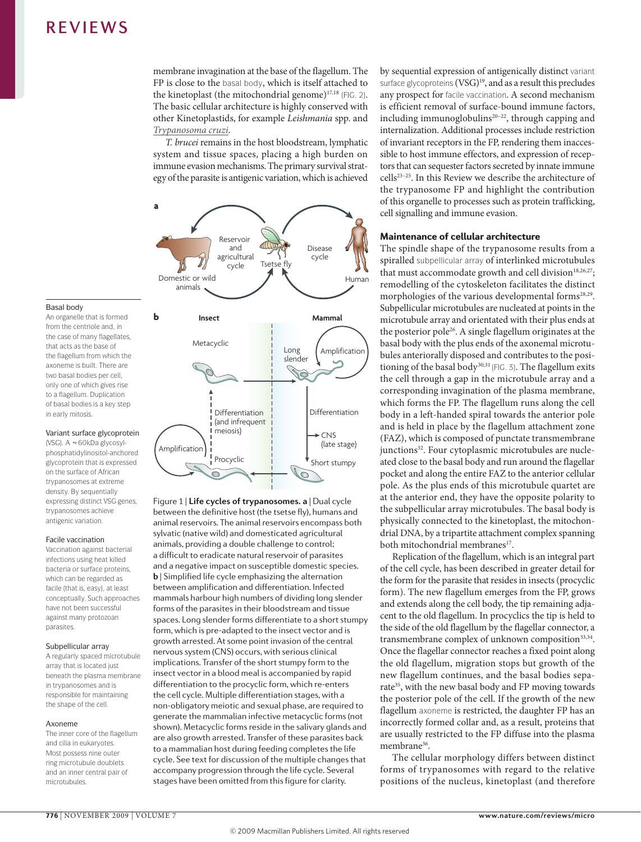membrane invagination at the base of the flagellum. The FP is close to the basal body, which is itself attached to the kinetoplast (the mitochondrial genome) $17,18$  (FIG. 2). The basic cellular architecture is highly conserved with other Kinetoplastids, for example *Leishmania* spp. and *[Trypanosoma](http://www.ncbi.nlm.nih.gov/sites/entrez?Db=genomeprj&cmd=ShowDetailView&TermToSearch=9530) cruzi*.

*T. brucei* remains in the host bloodstream, lymphatic system and tissue spaces, placing a high burden on immune evasion mechanisms. The primary survival strategy of the parasite is antigenic variation, which is achieved



**Nature Reviews** | **Microbiology** animal reservoirs. The animal reservoirs encompass both Figure 1 | **life cycles of trypanosomes. a** | Dual cycle between the definitive host (the tsetse fly), humans and sylvatic (native wild) and domesticated agricultural animals, providing a double challenge to control; a difficult to eradicate natural reservoir of parasites and a negative impact on susceptible domestic species. **b** | Simplified life cycle emphasizing the alternation between amplification and differentiation. Infected mammals harbour high numbers of dividing long slender forms of the parasites in their bloodstream and tissue spaces. Long slender forms differentiate to a short stumpy form, which is pre-adapted to the insect vector and is growth arrested. At some point invasion of the central nervous system (CNS) occurs, with serious clinical implications. Transfer of the short stumpy form to the insect vector in a blood meal is accompanied by rapid differentiation to the procyclic form, which re-enters the cell cycle. Multiple differentiation stages, with a non-obligatory meiotic and sexual phase, are required to generate the mammalian infective metacyclic forms (not shown). Metacyclic forms reside in the salivary glands and are also growth arrested. Transfer of these parasites back to a mammalian host during feeding completes the life cycle. See text for discussion of the multiple changes that accompany progression through the life cycle. Several stages have been omitted from this figure for clarity.

by sequential expression of antigenically distinct variant surface glycoproteins (VSG)<sup>19</sup>, and as a result this precludes any prospect for facile vaccination. A second mechanism is efficient removal of surface-bound immune factors, including immunoglobulins<sup>20-22</sup>, through capping and internalization. Additional processes include restriction of invariant receptors in the FP, rendering them inaccessible to host immune effectors, and expression of receptors that can sequester factors secreted by innate immune cells23–25. In this Review we describe the architecture of the trypanosome FP and highlight the contribution of this organelle to processes such as protein trafficking, cell signalling and immune evasion.

### Maintenance of cellular architecture

The spindle shape of the trypanosome results from a spiralled subpellicular array of interlinked microtubules that must accommodate growth and cell division<sup>18,26,27</sup>; remodelling of the cytoskeleton facilitates the distinct morphologies of the various developmental forms<sup>28,29</sup>. Subpellicular microtubules are nucleated at points in the microtubule array and orientated with their plus ends at the posterior pole26. A single flagellum originates at the basal body with the plus ends of the axonemal microtubules anteriorally disposed and contributes to the positioning of the basal body<sup>30,31</sup> (FIG. 3). The flagellum exits the cell through a gap in the microtubule array and a corresponding invagination of the plasma membrane, which forms the FP. The flagellum runs along the cell body in a left-handed spiral towards the anterior pole and is held in place by the flagellum attachment zone (FAZ), which is composed of punctate transmembrane junctions<sup>32</sup>. Four cytoplasmic microtubules are nucleated close to the basal body and run around the flagellar pocket and along the entire FAZ to the anterior cellular pole. As the plus ends of this microtubule quartet are at the anterior end, they have the opposite polarity to the subpellicular array microtubules. The basal body is physically connected to the kinetoplast, the mitochondrial DNA, by a tripartite attachment complex spanning both mitochondrial membranes<sup>17</sup>.

Replication of the flagellum, which is an integral part of the cell cycle, has been described in greater detail for the form for the parasite that resides in insects (procyclic form). The new flagellum emerges from the FP, grows and extends along the cell body, the tip remaining adjacent to the old flagellum. In procyclics the tip is held to the side of the old flagellum by the flagellar connector, a transmembrane complex of unknown composition<sup>33,34</sup>. Once the flagellar connector reaches a fixed point along the old flagellum, migration stops but growth of the new flagellum continues, and the basal bodies separate<sup>35</sup>, with the new basal body and FP moving towards the posterior pole of the cell. If the growth of the new flagellum axoneme is restricted, the daughter FP has an incorrectly formed collar and, as a result, proteins that are usually restricted to the FP diffuse into the plasma membrane<sup>36</sup>.

The cellular morphology differs between distinct forms of trypanosomes with regard to the relative positions of the nucleus, kinetoplast (and therefore

### Basal body

An organelle that is formed from the centriole and, in the case of many flagellates, that acts as the base of the flagellum from which the axoneme is built. There are two basal bodies per cell, only one of which gives rise to a flagellum. Duplication of basal bodies is a key step in early mitosis.

#### Variant surface glycoprotein

(VSG). A ~60kDa glycosylphosphatidylinositol-anchored glycoprotein that is expressed on the surface of African trypanosomes at extreme density. By sequentially expressing distinct VSG genes, trypanosomes achieve antigenic variation.

#### Facile vaccination

Vaccination against bacterial infections using heat killed bacteria or surface proteins, which can be regarded as facile (that is, easy), at least conceptually. Such approaches have not been successful against many protozoan parasites.

#### Subpellicular array

A regularly spaced microtubule array that is located just beneath the plasma membrane in trypanosomes and is responsible for maintaining the shape of the cell.

#### Axoneme

The inner core of the flagellum and cilia in eukaryotes. Most possess nine outer ring microtubule doublets and an inner central pair of microtubules.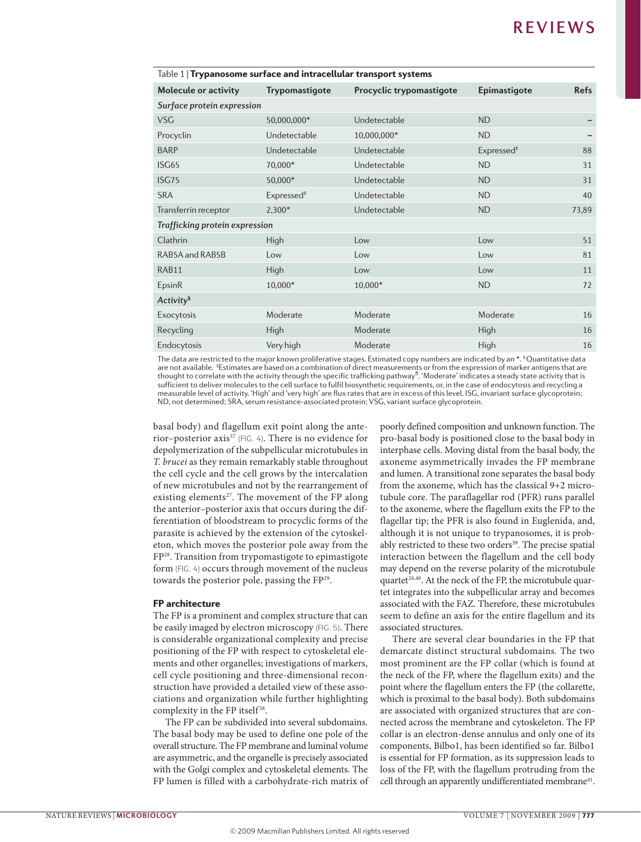| Table 1   Trypanosome surface and intracellular transport systems |                        |                          |                        |             |  |  |  |
|-------------------------------------------------------------------|------------------------|--------------------------|------------------------|-------------|--|--|--|
| <b>Molecule or activity</b>                                       | Trypomastigote         | Procyclic trypomastigote | Epimastigote           | <b>Refs</b> |  |  |  |
| Surface protein expression                                        |                        |                          |                        |             |  |  |  |
| <b>VSG</b>                                                        | 50,000,000*            | Undetectable             | <b>ND</b>              |             |  |  |  |
| Procyclin                                                         | Undetectable           | 10,000,000*              | <b>ND</b>              |             |  |  |  |
| <b>BARP</b>                                                       | Undetectable           | Undetectable             | Expressed <sup>#</sup> | 88          |  |  |  |
| ISG65                                                             | 70,000*                | Undetectable             | <b>ND</b>              | 31          |  |  |  |
| ISG75                                                             | 50,000*                | Undetectable             | <b>ND</b>              | 31          |  |  |  |
| <b>SRA</b>                                                        | Expressed <sup>#</sup> | Undetectable             | <b>ND</b>              | 40          |  |  |  |
| Transferrin receptor                                              | $2,300*$               | Undetectable             | <b>ND</b>              | 73,89       |  |  |  |
| Trafficking protein expression                                    |                        |                          |                        |             |  |  |  |
| Clathrin                                                          | High                   | Low                      | Low                    | 51          |  |  |  |
| RAB5A and RAB5B                                                   | Low                    | Low                      | Low                    | 81          |  |  |  |
| RAB11                                                             | <b>High</b>            | Low                      | Low                    | 11          |  |  |  |
| EpsinR                                                            | 10,000*                | 10,000*                  | <b>ND</b>              | 72          |  |  |  |
| <b>Activity</b> <sup>§</sup>                                      |                        |                          |                        |             |  |  |  |
| Exocytosis                                                        | Moderate               | Moderate                 | Moderate               | 16          |  |  |  |
| Recycling                                                         | <b>High</b>            | Moderate                 | <b>High</b>            | 16          |  |  |  |
| Endocytosis                                                       | Very high              | Moderate                 | <b>High</b>            | 16          |  |  |  |
|                                                                   |                        |                          |                        |             |  |  |  |

### The data are restricted to the major known proliferative stages. Estimated copy numbers are indicated by an \*. <sup>‡</sup> Quantitative data are not available. §Estimates are based on a combination of direct measurements or from the expression of marker antigens that are<br>thought to correlate with the activity through the specific trafficking pathway<sup>8</sup>. 'Modera sufficient to deliver molecules to the cell surface to fulfil biosynthetic requirements, or, in the case of endocytosis and recycling a measurable level of activity. 'High' and 'very high' are flux rates that are in excess of this level. ISG, invariant surface glycoprotein; ND, not determined; SRA, serum resistance-associated protein; VSG, variant surface glycoprotein.

basal body) and flagellum exit point along the anterior-posterior  $axis^{37}$  (FIG. 4). There is no evidence for depolymerization of the subpellicular microtubules in *T. brucei* as they remain remarkably stable throughout the cell cycle and the cell grows by the intercalation of new microtubules and not by the rearrangement of existing elements<sup>27</sup>. The movement of the FP along the anterior–posterior axis that occurs during the differentiation of bloodstream to procyclic forms of the parasite is achieved by the extension of the cytoskeleton, which moves the posterior pole away from the FP28. Transition from trypomastigote to epimastigote form (FIG. 4) occurs through movement of the nucleus towards the posterior pole, passing the FP<sup>29</sup>.

### FP architecture

The FP is a prominent and complex structure that can be easily imaged by electron microscopy (FIG. 5). There is considerable organizational complexity and precise positioning of the FP with respect to cytoskeletal elements and other organelles; investigations of markers, cell cycle positioning and three-dimensional reconstruction have provided a detailed view of these associations and organization while further highlighting complexity in the FP itself<sup>38</sup>.

The FP can be subdivided into several subdomains. The basal body may be used to define one pole of the overall structure. The FP membrane and luminal volume are asymmetric, and the organelle is precisely associated with the Golgi complex and cytoskeletal elements. The FP lumen is filled with a carbohydrate-rich matrix of poorly defined composition and unknown function. The pro-basal body is positioned close to the basal body in interphase cells. Moving distal from the basal body, the axoneme asymmetrically invades the FP membrane and lumen. A transitional zone separates the basal body from the axoneme, which has the classical 9+2 microtubule core. The paraflagellar rod (PFR) runs parallel to the axoneme, where the flagellum exits the FP to the flagellar tip; the PFR is also found in Euglenida, and, although it is not unique to trypanosomes, it is probably restricted to these two orders<sup>39</sup>. The precise spatial interaction between the flagellum and the cell body may depend on the reverse polarity of the microtubule quartet<sup>26,40</sup>. At the neck of the FP, the microtubule quartet integrates into the subpellicular array and becomes associated with the FAZ. Therefore, these microtubules seem to define an axis for the entire flagellum and its associated structures.

There are several clear boundaries in the FP that demarcate distinct structural subdomains. The two most prominent are the FP collar (which is found at the neck of the FP, where the flagellum exits) and the point where the flagellum enters the FP (the collarette, which is proximal to the basal body). Both subdomains are associated with organized structures that are connected across the membrane and cytoskeleton. The FP collar is an electron-dense annulus and only one of its components, Bilbo1, has been identified so far. Bilbo1 is essential for FP formation, as its suppression leads to loss of the FP, with the flagellum protruding from the cell through an apparently undifferentiated membrane<sup>41</sup>.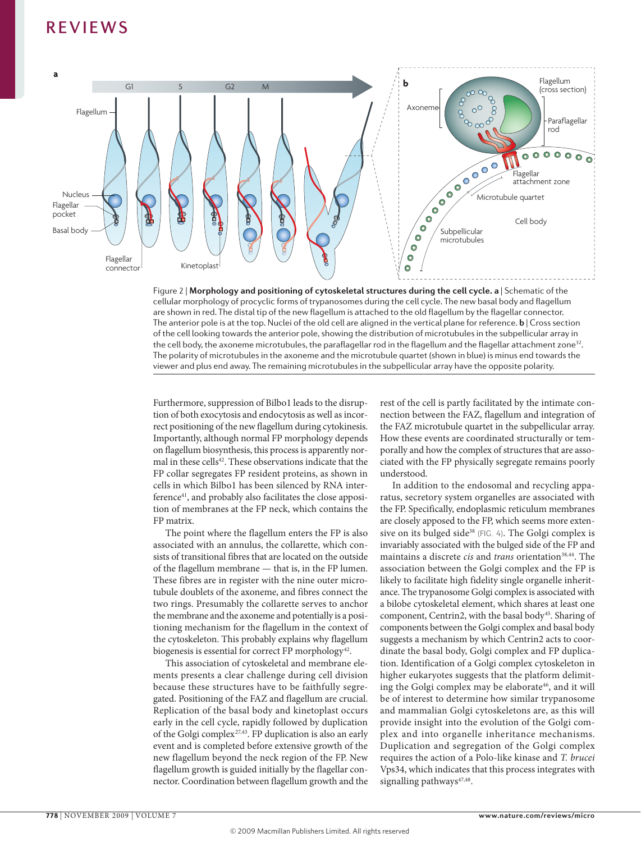

**Nature 2** | **Morphology** and positioning or cytosketetal structures during the cell cycle. A | Schematic or the<br>cellular morphology of procyclic forms of trypanosomes during the cell cycle. The new basal body and flagellu Figure 2 | **Morphology and positioning of cytoskeletal structures during the cell cycle. a** | Schematic of the are shown in red. The distal tip of the new flagellum is attached to the old flagellum by the flagellar connector. The anterior pole is at the top. Nuclei of the old cell are aligned in the vertical plane for reference. **b** | Cross section of the cell looking towards the anterior pole, showing the distribution of microtubules in the subpellicular array in the cell body, the axoneme microtubules, the paraflagellar rod in the flagellum and the flagellar attachment zone $32$ . The polarity of microtubules in the axoneme and the microtubule quartet (shown in blue) is minus end towards the viewer and plus end away. The remaining microtubules in the subpellicular array have the opposite polarity.

Furthermore, suppression of Bilbo1 leads to the disruption of both exocytosis and endocytosis as well as incorrect positioning of the new flagellum during cytokinesis. Importantly, although normal FP morphology depends on flagellum biosynthesis, this process is apparently normal in these cells<sup>42</sup>. These observations indicate that the FP collar segregates FP resident proteins, as shown in cells in which Bilbo1 has been silenced by RNA interference<sup>41</sup>, and probably also facilitates the close apposition of membranes at the FP neck, which contains the FP matrix.

The point where the flagellum enters the FP is also associated with an annulus, the collarette, which consists of transitional fibres that are located on the outside of the flagellum membrane — that is, in the FP lumen. These fibres are in register with the nine outer microtubule doublets of the axoneme, and fibres connect the two rings. Presumably the collarette serves to anchor the membrane and the axoneme and potentially is a positioning mechanism for the flagellum in the context of the cytoskeleton. This probably explains why flagellum biogenesis is essential for correct FP morphology<sup>42</sup>.

This association of cytoskeletal and membrane elements presents a clear challenge during cell division because these structures have to be faithfully segregated. Positioning of the FAZ and flagellum are crucial. Replication of the basal body and kinetoplast occurs early in the cell cycle, rapidly followed by duplication of the Golgi complex<sup>27,43</sup>. FP duplication is also an early event and is completed before extensive growth of the new flagellum beyond the neck region of the FP. New flagellum growth is guided initially by the flagellar connector. Coordination between flagellum growth and the rest of the cell is partly facilitated by the intimate connection between the FAZ, flagellum and integration of the FAZ microtubule quartet in the subpellicular array. How these events are coordinated structurally or temporally and how the complex of structures that are associated with the FP physically segregate remains poorly understood.

In addition to the endosomal and recycling apparatus, secretory system organelles are associated with the FP. Specifically, endoplasmic reticulum membranes are closely apposed to the FP, which seems more extensive on its bulged side<sup>38</sup> (FIG. 4). The Golgi complex is invariably associated with the bulged side of the FP and maintains a discrete *cis* and *trans* orientation<sup>38,44</sup>. The association between the Golgi complex and the FP is likely to facilitate high fidelity single organelle inheritance. The trypanosome Golgi complex is associated with a bilobe cytoskeletal element, which shares at least one component, Centrin2, with the basal body<sup>45</sup>. Sharing of components between the Golgi complex and basal body suggests a mechanism by which Centrin2 acts to coordinate the basal body, Golgi complex and FP duplication. Identification of a Golgi complex cytoskeleton in higher eukaryotes suggests that the platform delimiting the Golgi complex may be elaborate<sup>46</sup>, and it will be of interest to determine how similar trypanosome and mammalian Golgi cytoskeletons are, as this will provide insight into the evolution of the Golgi complex and into organelle inheritance mechanisms. Duplication and segregation of the Golgi complex requires the action of a Polo-like kinase and *T. brucei* vps34, which indicates that this process integrates with signalling pathways<sup>47,48</sup>.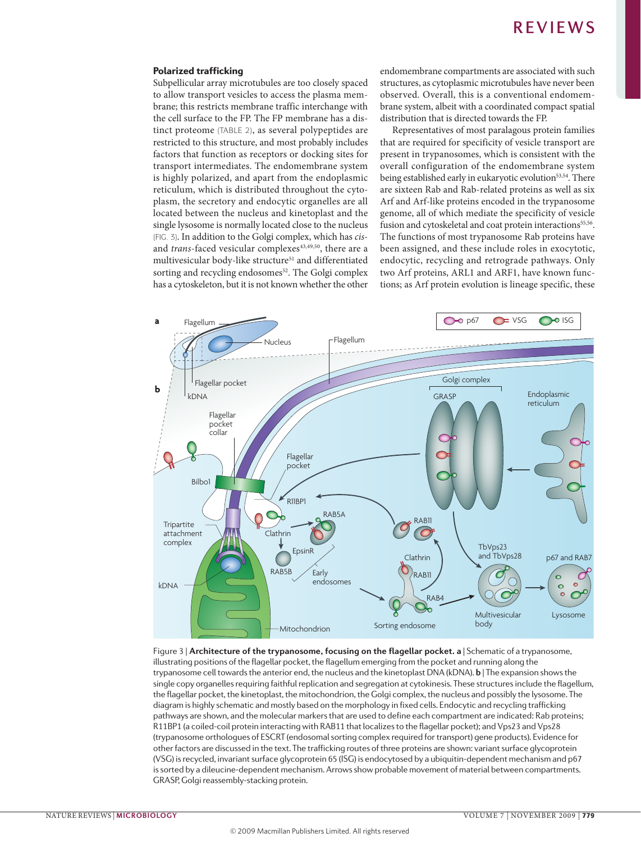### Polarized trafficking

Subpellicular array microtubules are too closely spaced to allow transport vesicles to access the plasma membrane; this restricts membrane traffic interchange with the cell surface to the FP. The FP membrane has a distinct proteome (TABLE 2), as several polypeptides are restricted to this structure, and most probably includes factors that function as receptors or docking sites for transport intermediates. The endomembrane system is highly polarized, and apart from the endoplasmic reticulum, which is distributed throughout the cytoplasm, the secretory and endocytic organelles are all located between the nucleus and kinetoplast and the single lysosome is normally located close to the nucleus (FIG. 3). In addition to the Golgi complex, which has *cis*and *trans*-faced vesicular complexes<sup>43,49,50</sup>, there are a multivesicular body-like structure<sup>51</sup> and differentiated sorting and recycling endosomes<sup>52</sup>. The Golgi complex has a cytoskeleton, but it is not known whether the other endomembrane compartments are associated with such structures, as cytoplasmic microtubules have never been observed. Overall, this is a conventional endomembrane system, albeit with a coordinated compact spatial distribution that is directed towards the FP.

Representatives of most paralagous protein families that are required for specificity of vesicle transport are present in trypanosomes, which is consistent with the overall configuration of the endomembrane system being established early in eukaryotic evolution<sup>53,54</sup>. There are sixteen Rab and Rab-related proteins as well as six Arf and Arf-like proteins encoded in the trypanosome genome, all of which mediate the specificity of vesicle fusion and cytoskeletal and coat protein interactions<sup>55,56</sup>. The functions of most trypanosome Rab proteins have been assigned, and these include roles in exocytotic, endocytic, recycling and retrograde pathways. Only two Arf proteins, ARL1 and ARF1, have known functions; as Arf protein evolution is lineage specific, these



illustrating positions of the flagellar pocket, the flagellum emerging from the pocket and running along the Figure 3 | **Architecture of the trypanosome, focusing on the flagellar pocket. a** | Schematic of a trypanosome, trypanosome cell towards the anterior end, the nucleus and the kinetoplast DNA (kDNA). **b** | The expansion shows the single copy organelles requiring faithful replication and segregation at cytokinesis. These structures include the flagellum, the flagellar pocket, the kinetoplast, the mitochondrion, the Golgi complex, the nucleus and possibly the lysosome. The diagram is highly schematic and mostly based on the morphology in fixed cells. Endocytic and recycling trafficking pathways are shown, and the molecular markers that are used to define each compartment are indicated: Rab proteins; R11BP1 (a coiled-coil protein interacting with RAB11 that localizes to the flagellar pocket); and Vps23 and Vps28 (trypanosome orthologues of ESCRT (endosomal sorting complex required for transport) gene products). Evidence for other factors are discussed in the text. The trafficking routes of three proteins are shown: variant surface glycoprotein (VSG) is recycled, invariant surface glycoprotein 65 (ISG) is endocytosed by a ubiquitin-dependent mechanism and p67 is sorted by a dileucine-dependent mechanism. Arrows show probable movement of material between compartments. GRASP, Golgi reassembly-stacking protein.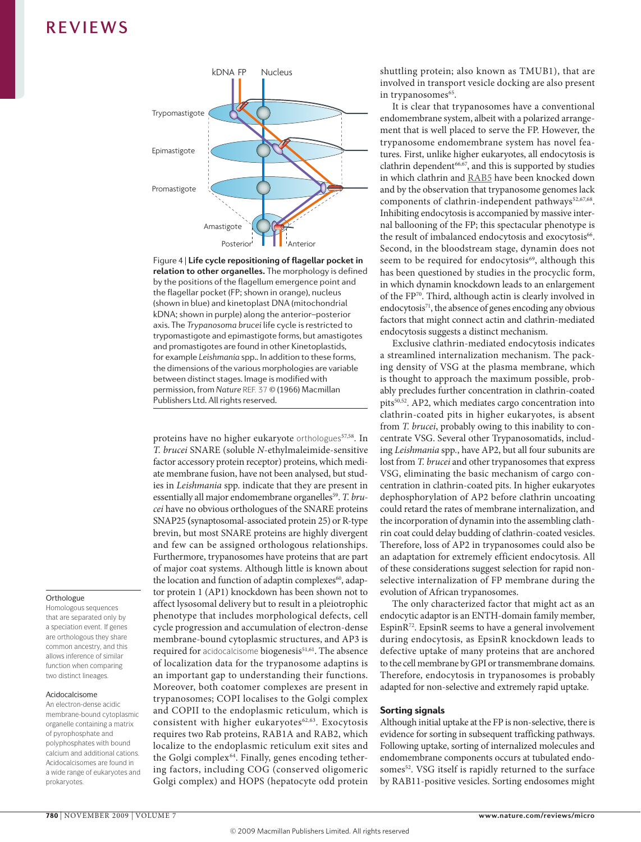



proteins have no higher eukaryote orthologues<sup>57,58</sup>. In *T. brucei* SNARE (soluble *N*-ethylmaleimide-sensitive factor accessory protein receptor) proteins, which mediate membrane fusion, have not been analysed, but studies in *Leishmania* spp. indicate that they are present in essentially all major endomembrane organelles<sup>59</sup>. T. bru*cei* have no obvious orthologues of the SNARE proteins SNAP25 **(**synaptosomal-associated protein 25) or R-type brevin, but most SNARE proteins are highly divergent and few can be assigned orthologous relationships. Furthermore, trypanosomes have proteins that are part of major coat systems. Although little is known about the location and function of adaptin complexes<sup>60</sup>, adaptor protein 1 (AP1) knockdown has been shown not to affect lysosomal delivery but to result in a pleiotrophic phenotype that includes morphological defects, cell cycle progression and accumulation of electron-dense membrane-bound cytoplasmic structures, and AP3 is required for acidocalcisome biogenesis<sup>51,61</sup>. The absence of localization data for the trypanosome adaptins is an important gap to understanding their functions. Moreover, both coatomer complexes are present in trypanosomes; CoPI localises to the Golgi complex and CoPII to the endoplasmic reticulum, which is consistent with higher eukaryotes<sup>62,63</sup>. Exocytosis requires two Rab proteins, RAB1A and RAB2, which localize to the endoplasmic reticulum exit sites and the Golgi complex<sup>64</sup>. Finally, genes encoding tethering factors, including CoG (conserved oligomeric Golgi complex) and HoPS (hepatocyte odd protein shuttling protein; also known as TMUB1), that are involved in transport vesicle docking are also present in trypanosomes<sup>65</sup>.

It is clear that trypanosomes have a conventional endomembrane system, albeit with a polarized arrangement that is well placed to serve the FP. However, the trypanosome endomembrane system has novel features. First, unlike higher eukaryotes, all endocytosis is clathrin dependent<sup>66,67</sup>, and this is supported by studies in which clathrin and [RAB5](http://www.uniprot.org/uniprot/Q388V0) have been knocked down and by the observation that trypanosome genomes lack components of clathrin-independent pathways<sup>52,67,68</sup>. Inhibiting endocytosis is accompanied by massive internal ballooning of the FP; this spectacular phenotype is the result of imbalanced endocytosis and exocytosis<sup>66</sup>. Second, in the bloodstream stage, dynamin does not seem to be required for endocytosis<sup>69</sup>, although this has been questioned by studies in the procyclic form, in which dynamin knockdown leads to an enlargement of the FP70. Third, although actin is clearly involved in endocytosis<sup>71</sup>, the absence of genes encoding any obvious factors that might connect actin and clathrin-mediated endocytosis suggests a distinct mechanism.

Exclusive clathrin-mediated endocytosis indicates a streamlined internalization mechanism. The packing density of vSG at the plasma membrane, which is thought to approach the maximum possible, probably precludes further concentration in clathrin-coated pits50,52. AP2, which mediates cargo concentration into clathrin-coated pits in higher eukaryotes, is absent from *T. brucei*, probably owing to this inability to concentrate vSG. Several other Trypanosomatids, including *Leishmania* spp*.*, have AP2, but all four subunits are lost from *T. brucei* and other trypanosomes that express vSG, eliminating the basic mechanism of cargo concentration in clathrin-coated pits. In higher eukaryotes dephosphorylation of AP2 before clathrin uncoating could retard the rates of membrane internalization, and the incorporation of dynamin into the assembling clathrin coat could delay budding of clathrin-coated vesicles. Therefore, loss of AP2 in trypanosomes could also be an adaptation for extremely efficient endocytosis. All of these considerations suggest selection for rapid nonselective internalization of FP membrane during the evolution of African trypanosomes.

The only characterized factor that might act as an endocytic adaptor is an ENTH-domain family member, EspinR72. EpsinR seems to have a general involvement during endocytosis, as EpsinR knockdown leads to defective uptake of many proteins that are anchored to the cell membrane by GPI or transmembrane domains. Therefore, endocytosis in trypanosomes is probably adapted for non-selective and extremely rapid uptake.

### Sorting signals

Although initial uptake at the FP is non-selective, there is evidence for sorting in subsequent trafficking pathways. Following uptake, sorting of internalized molecules and endomembrane components occurs at tubulated endosomes<sup>52</sup>. VSG itself is rapidly returned to the surface by RAB11-positive vesicles. Sorting endosomes might

### Orthologue

Homologous sequences that are separated only by a speciation event. If genes are orthologous they share common ancestry, and this allows inference of similar function when comparing two distinct lineages.

#### Acidocalcisome

An electron-dense acidic membrane-bound cytoplasmic organelle containing a matrix of pyrophosphate and polyphosphates with bound calcium and additional cations. Acidocalcisomes are found in a wide range of eukaryotes and prokaryotes.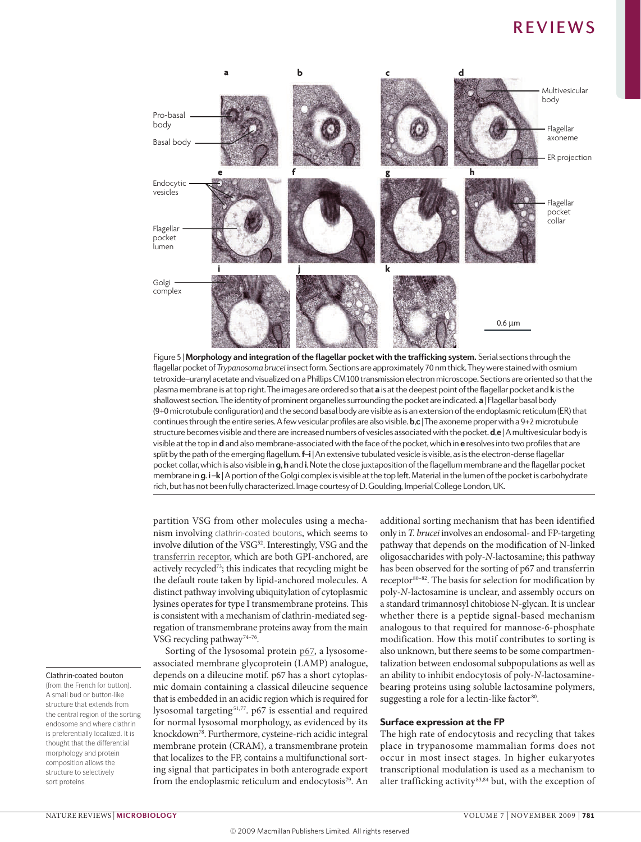

flagellar pocket of *Trypanosoma brucei* insect form. Sections are approximately 70 nm thick. They were stained with osmium Figure 5 | **Morphology and integration of the flagellar pocket with the trafficking system.** Serial sections through the tetroxide–uranyl acetate and visualized on a Phillips CM100 transmission electron microscope. Sections areoriented so that the plasma membrane is at top right. The images are ordered so that **a** is at the deepest point of the flagellar pocket and **k** is the shallowest section. The identity of prominent organelles surrounding the pocket are indicated. **a** | Flagellar basal body (9+0 microtubule configuration) and the second basal body are visible as is an extension of the endoplasmic reticulum (ER) that continues through the entire series. A few vesicular profiles are also visible. **b**,**c**|The axoneme proper with a 9+2 microtubule structure becomes visible and there are increased numbers of vesicles associated with the pocket. **d**,**e** | A multivesicular body is visible at the top in **d** and also membrane-associated with the face of the pocket, which in **e** resolves into two profiles that are split by the path of the emerging flagellum. **f**–**i** | An extensive tubulated vesicle is visible, as is the electron-dense flagellar pocket collar, which is also visible in **g**, **h** and **i**. Notethe close juxtaposition of the flagellum membrane and the flagellar pocket membrane in **g**. **i** –**k** | A portion of the Golgi complex is visible at the top left. Material in the lumen of the pocket is carbohydrate rich, buthas not been fully characterized. Image courtesy of D. Goulding, Imperial College London, UK.

partition vSG from other molecules using a mechanism involving clathrin-coated boutons, which seems to involve dilution of the VSG<sup>52</sup>. Interestingly, VSG and the [transferrin receptor](http://www.uniprot.org/uniprot/Q5TLQ0), which are both GPI-anchored, are actively recycled73; this indicates that recycling might be the default route taken by lipid-anchored molecules. A distinct pathway involving ubiquitylation of cytoplasmic lysines operates for type I transmembrane proteins. This is consistent with a mechanism of clathrin-mediated segregation of transmembrane proteins away from the main vSG recycling pathway74–76.

Sorting of the lysosomal protein [p67](http://www.uniprot.org/uniprot/Q57ZQ0), a lysosomeassociated membrane glycoprotein (LAMP) analogue, depends on a dileucine motif. p67 has a short cytoplasmic domain containing a classical dileucine sequence that is embedded in an acidic region which is required for lysosomal targeting51,77. p67 is essential and required for normal lysosomal morphology, as evidenced by its knockdown<sup>78</sup>. Furthermore, cysteine-rich acidic integral membrane protein (CRAM), a transmembrane protein that localizes to the FP, contains a multifunctional sorting signal that participates in both anterograde export from the endoplasmic reticulum and endocytosis<sup>79</sup>. An

additional sorting mechanism that has been identified only in *T. brucei* involves an endosomal- and FP-targeting pathway that depends on the modification of N-linked oligosaccharides with poly-*N*-lactosamine; this pathway has been observed for the sorting of p67 and transferrin receptor<sup>80–82</sup>. The basis for selection for modification by poly-*N*-lactosamine is unclear, and assembly occurs on a standard trimannosyl chitobiose N-glycan. It is unclear whether there is a peptide signal-based mechanism analogous to that required for mannose-6-phosphate modification. How this motif contributes to sorting is also unknown, but there seems to be some compartmentalization between endosomal subpopulations as well as an ability to inhibit endocytosis of poly-*N*-lactosaminebearing proteins using soluble lactosamine polymers, suggesting a role for a lectin-like factor<sup>80</sup>.

# Surface expression at the FP

The high rate of endocytosis and recycling that takes place in trypanosome mammalian forms does not occur in most insect stages. In higher eukaryotes transcriptional modulation is used as a mechanism to alter trafficking activity<sup>83,84</sup> but, with the exception of

#### Clathrin-coated bouton

(from the French for button). A small bud or button-like structure that extends from the central region of the sorting endosome and where clathrin is preferentially localized. It is thought that the differential morphology and protein composition allows the structure to selectively sort proteins.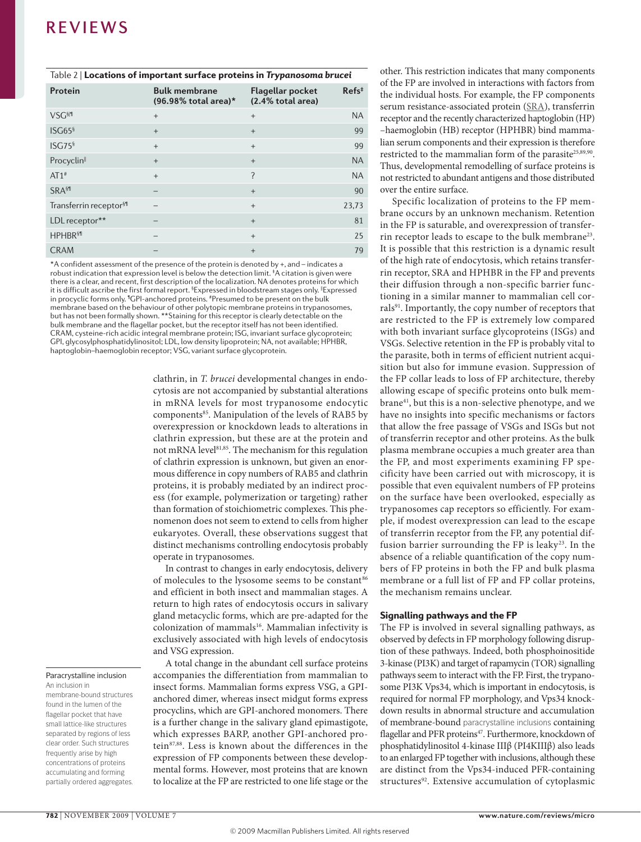| Table 2   Locations of important surface proteins in Trypanosoma brucei |
|-------------------------------------------------------------------------|
|-------------------------------------------------------------------------|

| Protein                            | <b>Bulk membrane</b><br>$(96.98\% \text{ total area})*$ | <b>Flagellar pocket</b><br>(2.4% total area) | Refs <sup>†</sup> |
|------------------------------------|---------------------------------------------------------|----------------------------------------------|-------------------|
| <b>VSGSI1</b>                      | $+$                                                     | $+$                                          | <b>NA</b>         |
| ISG65 <sup>§</sup>                 | $+$                                                     | $+$                                          | 99                |
| ISG75 <sup>§</sup>                 | $+$                                                     | $+$                                          | 99                |
| Procyclin                          | $+$                                                     | $+$                                          | <b>NA</b>         |
| $AT1$ <sup>#</sup>                 | $^{+}$                                                  | $\overline{\cdot}$                           | <b>NA</b>         |
| <b>SRA</b> <sup>\$1</sup>          |                                                         | $+$                                          | 90                |
| Transferrin receptor <sup>§1</sup> |                                                         | $+$                                          | 23,73             |
| LDL receptor**                     |                                                         | $+$                                          | 81                |
| <b>HPHBR</b> <sup>\$1</sup>        |                                                         | $+$                                          | 25                |
| <b>CRAM</b>                        |                                                         | $+$                                          | 79                |

\*A confident assessment of the presence of the protein is denoted by +, and – indicates a robust indication that expression level is below the detection limit. ‡ A citation is given were there is a clear, and recent, first description of the localization. NA denotes proteins for which it is difficult ascribe the first formal report. § Expressed in bloodstream stages only. ||Expressed in procyclic forms only. ¶ GPI-anchored proteins. # Presumed to be present on the bulk membrane based on the behaviour of other polytopic membrane proteins in trypanosomes, but has not been formally shown. \*\*Staining for this receptor is clearly detectable on the bulk membrane and the flagellar pocket, but the receptor itself has not been identified. CRAM, cysteine-rich acidic integral membrane protein; ISG, invariant surface glycoprotein; GPI, glycosylphosphatidylinositol; LDL, low density lipoprotein; NA, not available; HPHBR, haptoglobin–haemoglobin receptor; VSG, variant surface glycoprotein.

> clathrin, in *T. brucei* developmental changes in endocytosis are not accompanied by substantial alterations in mRNA levels for most trypanosome endocytic components<sup>85</sup>. Manipulation of the levels of RAB5 by overexpression or knockdown leads to alterations in clathrin expression, but these are at the protein and not mRNA level<sup>81,85</sup>. The mechanism for this regulation of clathrin expression is unknown, but given an enormous difference in copy numbers of RAB5 and clathrin proteins, it is probably mediated by an indirect process (for example, polymerization or targeting) rather than formation of stoichiometric complexes. This phenomenon does not seem to extend to cells from higher eukaryotes. overall, these observations suggest that distinct mechanisms controlling endocytosis probably operate in trypanosomes.

In contrast to changes in early endocytosis, delivery of molecules to the lysosome seems to be constant<sup>86</sup> and efficient in both insect and mammalian stages. A return to high rates of endocytosis occurs in salivary gland metacyclic forms, which are pre-adapted for the colonization of mammals<sup>16</sup>. Mammalian infectivity is exclusively associated with high levels of endocytosis and vSG expression.

A total change in the abundant cell surface proteins

accompanies the differentiation from mammalian to insect forms. Mammalian forms express vSG, a GPIanchored dimer, whereas insect midgut forms express procyclins, which are GPI-anchored monomers. There is a further change in the salivary gland epimastigote, which expresses BARP, another GPI-anchored protein87,88. Less is known about the differences in the expression of FP components between these developmental forms. However, most proteins that are known to localize at the FP are restricted to one life stage or the other. This restriction indicates that many components of the FP are involved in interactions with factors from the individual hosts. For example, the FP components serum resistance-associated protein [\(SRA\)](http://www.uniprot.org/uniprot/Q26807), transferrin receptor and the recently characterized haptoglobin (HP) –haemoglobin (HB) receptor (HPHBR) bind mammalian serum components and their expression is therefore restricted to the mammalian form of the parasite<sup>25,89,90</sup>. Thus, developmental remodelling of surface proteins is not restricted to abundant antigens and those distributed over the entire surface.

Specific localization of proteins to the FP membrane occurs by an unknown mechanism. Retention in the FP is saturable, and overexpression of transferrin receptor leads to escape to the bulk membrane23. It is possible that this restriction is a dynamic result of the high rate of endocytosis, which retains transferrin receptor, SRA and HPHBR in the FP and prevents their diffusion through a non-specific barrier functioning in a similar manner to mammalian cell corrals<sup>91</sup>. Importantly, the copy number of receptors that are restricted to the FP is extremely low compared with both invariant surface glycoproteins (ISGs) and vSGs. Selective retention in the FP is probably vital to the parasite, both in terms of efficient nutrient acquisition but also for immune evasion. Suppression of the FP collar leads to loss of FP architecture, thereby allowing escape of specific proteins onto bulk membrane41, but this is a non-selective phenotype, and we have no insights into specific mechanisms or factors that allow the free passage of vSGs and ISGs but not of transferrin receptor and other proteins. As the bulk plasma membrane occupies a much greater area than the FP, and most experiments examining FP specificity have been carried out with microscopy, it is possible that even equivalent numbers of FP proteins on the surface have been overlooked, especially as trypanosomes cap receptors so efficiently. For example, if modest overexpression can lead to the escape of transferrin receptor from the FP, any potential diffusion barrier surrounding the FP is leaky<sup>23</sup>. In the absence of a reliable quantification of the copy numbers of FP proteins in both the FP and bulk plasma membrane or a full list of FP and FP collar proteins, the mechanism remains unclear.

# Signalling pathways and the FP

The FP is involved in several signalling pathways, as observed by defects in FP morphology following disruption of these pathways. Indeed, both phosphoinositide 3-kinase (PI3K) and target of rapamycin (ToR) signalling pathways seem to interact with the FP. First, the trypanosome PI3K vps34, which is important in endocytosis, is required for normal FP morphology, and vps34 knockdown results in abnormal structure and accumulation of membrane-bound paracrystalline inclusions containing flagellar and PFR proteins<sup>47</sup>. Furthermore, knockdown of phosphatidylinositol 4-kinase IIIβ (PI4KIIIβ) also leads to an enlarged FP together with inclusions, although these are distinct from the vps34-induced PFR-containing structures<sup>92</sup>. Extensive accumulation of cytoplasmic

Paracrystalline inclusion An inclusion in

membrane-bound structures found in the lumen of the flagellar pocket that have small lattice-like structures separated by regions of less clear order. Such structures frequently arise by high concentrations of proteins accumulating and forming partially ordered aggregates.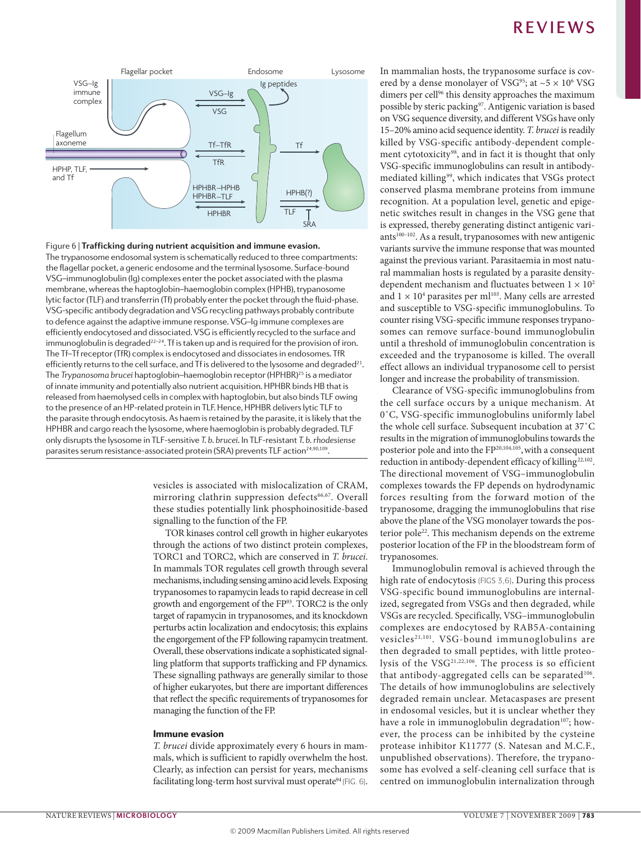

**Nature Reviews** | **Microbiology** the flagellar pocket, a generic endosome and the terminal lysosome. Surface-bound Figure 6 | **Trafficking during nutrient acquisition and immune evasion.**  The trypanosome endosomal system is schematically reduced to three compartments: VSG–immunoglobulin (Ig) complexes enter the pocket associated with the plasma membrane, whereas the haptoglobin–haemoglobin complex (HPHB), trypanosome lytic factor (TLF) and transferrin (Tf) probably enter the pocket through the fluid-phase. VSG-specific antibody degradation and VSG recycling pathways probably contribute to defence against the adaptive immune response. VSG–Ig immune complexes are efficiently endocytosed and dissociated. VSG is efficiently recycled to the surface and immunoglobulin is degraded<sup>22-24</sup>. Tf is taken up and is required for the provision of iron. The Tf–Tf receptor (TfR) complex is endocytosed and dissociates in endosomes. TfR efficiently returns to the cell surface, and Tf is delivered to the lysosome and degraded<sup>21</sup>. The *Trypanosoma brucei* haptoglobin–haemoglobin receptor (HPHBR) 25 is a mediator of innate immunity and potentially also nutrient acquisition. HPHBR binds HB that is released from haemolysed cells in complex with haptoglobin, but also binds TLF owing to the presence of an HP-related protein in TLF. Hence, HPHBR delivers lytic TLF to the parasite through endocytosis. As haem is retained by the parasite, it is likely that the HPHBR and cargo reach the lysosome, where haemoglobin is probably degraded. TLF only disrupts the lysosome in TLF-sensitive *T. b. brucei*. In TLF-resistant *T. b. rhodesiense* parasites serum resistance-associated protein (SRA) prevents TLF action<sup>24,90,109</sup>.

> vesicles is associated with mislocalization of CRAM, mirroring clathrin suppression defects<sup>66,67</sup>. Overall these studies potentially link phosphoinositide-based signalling to the function of the FP.

> ToR kinases control cell growth in higher eukaryotes through the actions of two distinct protein complexes, ToRC1 and ToRC2, which are conserved in *T. brucei*. In mammals ToR regulates cell growth through several mechanisms, including sensing amino acid levels. Exposing trypanosomes to rapamycin leads to rapid decrease in cell growth and engorgement of the FP93. ToRC2 is the only target of rapamycin in trypanosomes, and its knockdown perturbs actin localization and endocytosis; this explains the engorgement of the FP following rapamycin treatment. Overall, these observations indicate a sophisticated signalling platform that supports trafficking and FP dynamics. These signalling pathways are generally similar to those of higher eukaryotes, but there are important differences that reflect the specific requirements of trypanosomes for managing the function of the FP.

### Immune evasion

*T. brucei* divide approximately every 6 hours in mammals, which is sufficient to rapidly overwhelm the host. Clearly, as infection can persist for years, mechanisms facilitating long-term host survival must operate<sup>94</sup> (FIG. 6).

In mammalian hosts, the trypanosome surface is covered by a dense monolayer of VSG<sup>95</sup>; at  $\sim$  5  $\times$  10<sup>6</sup> VSG dimers per cell<sup>96</sup> this density approaches the maximum possible by steric packing<sup>97</sup>. Antigenic variation is based on vSG sequence diversity, and different vSGs have only 15–20% amino acid sequence identity. *T. brucei* is readily killed by vSG-specific antibody-dependent complement cytotoxicity<sup>98</sup>, and in fact it is thought that only vSG-specific immunoglobulins can result in antibodymediated killing<sup>99</sup>, which indicates that VSGs protect conserved plasma membrane proteins from immune recognition. At a population level, genetic and epigenetic switches result in changes in the vSG gene that is expressed, thereby generating distinct antigenic variants<sup>100-102</sup>. As a result, trypanosomes with new antigenic variants survive the immune response that was mounted against the previous variant. Parasitaemia in most natural mammalian hosts is regulated by a parasite densitydependent mechanism and fluctuates between  $1 \times 10^2$ and  $1 \times 10^4$  parasites per ml<sup>103</sup>. Many cells are arrested and susceptible to vSG-specific immunoglobulins. To counter rising vSG-specific immune responses trypanosomes can remove surface-bound immunoglobulin until a threshold of immunoglobulin concentration is exceeded and the trypanosome is killed. The overall effect allows an individual trypanosome cell to persist longer and increase the probability of transmission.

Clearance of vSG-specific immunoglobulins from the cell surface occurs by a unique mechanism. At 0˚C, vSG-specific immunoglobulins uniformly label the whole cell surface. Subsequent incubation at 37˚C results in the migration of immunoglobulins towards the posterior pole and into the FP<sup>20,104,105</sup>, with a consequent reduction in antibody-dependent efficacy of killing<sup>22,102</sup>. The directional movement of vSG–immunoglobulin complexes towards the FP depends on hydrodynamic forces resulting from the forward motion of the trypanosome, dragging the immunoglobulins that rise above the plane of the vSG monolayer towards the posterior pole22. This mechanism depends on the extreme posterior location of the FP in the bloodstream form of trypanosomes.

Immunoglobulin removal is achieved through the high rate of endocytosis (FIGS 3,6). During this process vSG-specific bound immunoglobulins are internalized, segregated from vSGs and then degraded, while vSGs are recycled. Specifically, vSG–immunoglobulin complexes are endocytosed by RAB5A-containing vesicles<sup>21,101</sup>. VSG-bound immunoglobulins are then degraded to small peptides, with little proteolysis of the vSG21,22,106. The process is so efficient that antibody-aggregated cells can be separated<sup>106</sup>. The details of how immunoglobulins are selectively degraded remain unclear. Metacaspases are present in endosomal vesicles, but it is unclear whether they have a role in immunoglobulin degradation<sup>107</sup>; however, the process can be inhibited by the cysteine protease inhibitor K11777 (S. Natesan and M.C.F., unpublished observations). Therefore, the trypanosome has evolved a self-cleaning cell surface that is centred on immunoglobulin internalization through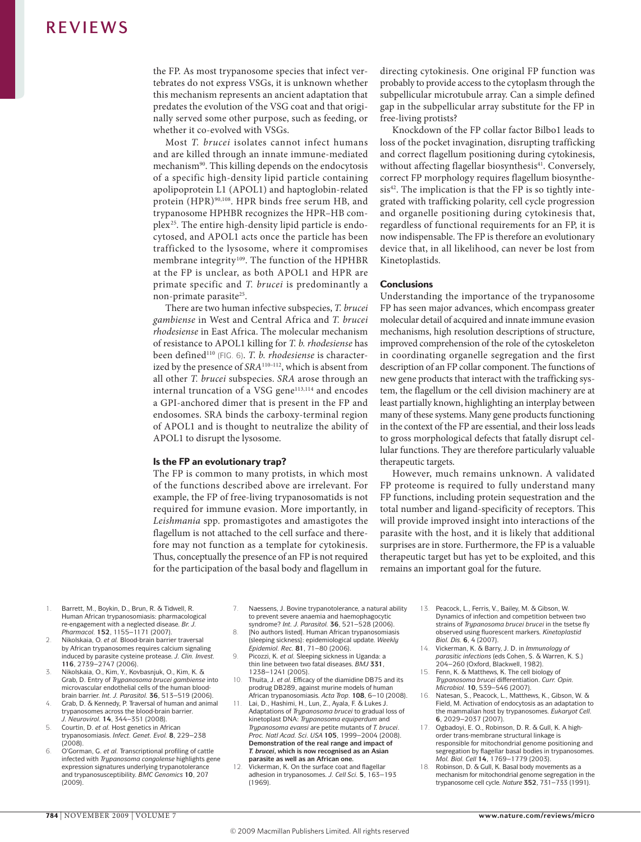the FP. As most trypanosome species that infect vertebrates do not express vSGs, it is unknown whether this mechanism represents an ancient adaptation that predates the evolution of the vSG coat and that originally served some other purpose, such as feeding, or whether it co-evolved with vSGs.

Most *T. brucei* isolates cannot infect humans and are killed through an innate immune-mediated mechanism<sup>90</sup>. This killing depends on the endocytosis of a specific high-density lipid particle containing apolipoprotein L1 (APoL1) and haptoglobin-related protein (HPR)90,108. HPR binds free serum HB, and trypanosome HPHBR recognizes the HPR–HB complex<sup>25</sup>. The entire high-density lipid particle is endocytosed, and APoL1 acts once the particle has been trafficked to the lysosome, where it compromises membrane integrity<sup>109</sup>. The function of the HPHBR at the FP is unclear, as both APoL1 and HPR are primate specific and *T. brucei* is predominantly a non-primate parasite<sup>25</sup>.

There are two human infective subspecies, *T. brucei gambiense* in West and Central Africa and *T. brucei rhodesiense* in East Africa. The molecular mechanism of resistance to APoL1 killing for *T. b. rhodesiense* has been defined<sup>110</sup> (FIG. 6). *T. b. rhodesiense* is characterized by the presence of *SRA*110–112, which is absent from all other *T. brucei* subspecies. *SRA* arose through an internal truncation of a VSG gene<sup>113,114</sup> and encodes a GPI-anchored dimer that is present in the FP and endosomes. SRA binds the carboxy-terminal region of APoL1 and is thought to neutralize the ability of APoL1 to disrupt the lysosome.

#### Is the FP an evolutionary trap?

The FP is common to many protists, in which most of the functions described above are irrelevant. For example, the FP of free-living trypanosomatids is not required for immune evasion. More importantly, in *Leishmania* spp. promastigotes and amastigotes the flagellum is not attached to the cell surface and therefore may not function as a template for cytokinesis. Thus, conceptually the presence of an FP is not required for the participation of the basal body and flagellum in directing cytokinesis. One original FP function was probably to provide access to the cytoplasm through the subpellicular microtubule array. Can a simple defined gap in the subpellicular array substitute for the FP in free-living protists?

Knockdown of the FP collar factor Bilbo1 leads to loss of the pocket invagination, disrupting trafficking and correct flagellum positioning during cytokinesis, without affecting flagellar biosynthesis<sup>41</sup>. Conversely, correct FP morphology requires flagellum biosynthe $sis<sup>42</sup>$ . The implication is that the FP is so tightly integrated with trafficking polarity, cell cycle progression and organelle positioning during cytokinesis that, regardless of functional requirements for an FP, it is now indispensable. The FP is therefore an evolutionary device that, in all likelihood, can never be lost from Kinetoplastids.

#### **Conclusions**

Understanding the importance of the trypanosome FP has seen major advances, which encompass greater molecular detail of acquired and innate immune evasion mechanisms, high resolution descriptions of structure, improved comprehension of the role of the cytoskeleton in coordinating organelle segregation and the first description of an FP collar component. The functions of new gene products that interact with the trafficking system, the flagellum or the cell division machinery are at least partially known, highlighting an interplay between many of these systems. Many gene products functioning in the context of the FP are essential, and their loss leads to gross morphological defects that fatally disrupt cellular functions. They are therefore particularly valuable therapeutic targets.

However, much remains unknown. A validated FP proteome is required to fully understand many FP functions, including protein sequestration and the total number and ligand-specificity of receptors. This will provide improved insight into interactions of the parasite with the host, and it is likely that additional surprises are in store. Furthermore, the FP is a valuable therapeutic target but has yet to be exploited, and this remains an important goal for the future.

- Barrett, M., Boykin, D., Brun, R. & Tidwell, R. Human African trypanosomiasis: pharmacological re-engagement with a neglected disease. *Br. J. Pharmacol.* **152**, 1155–1171 (2007).
- 2. Nikolskaia, O. *et al.* Blood-brain barrier traversal by African trypanosomes requires calcium signaling induced by parasite cysteine protease. *J. Clin. Invest.* **116**, 2739–2747 (2006).
- 3. Nikolskaia, O., Kim, Y., Kovbasnjuk, O., Kim, K. & Grab, D. Entry of *Trypanosoma brucei gambiense* into microvascular endothelial cells of the human bloodbrain barrier. *Int. J. Parasitol.* **36**, 513–519 (2006).
- 4. Grab, D. & Kennedy, P. Traversal of human and animal trypanosomes across the blood-brain barrier. *J. Neurovirol.* **14**, 344–351 (2008).
- 5. Courtin, D. *et al.* Host genetics in African trypanosomiasis. *Infect. Genet. Evol.* **8**, 229–238  $(2008)$
- 6. O'Gorman, G. *et al.* Transcriptional profiling of cattle infected with *Trypanosoma congolense* highlights gene expression signatures underlying trypanotolerance and trypanosusceptibility. *BMC Genomics* **10**, 207 (2009).
- Naessens, J. Bovine trypanotolerance, a natural ability to prevent severe anaemia and haemophagocytic syndrome? *Int. J. Parasitol.* **36**, 521–528 (2006).
- 8. [No authors listed]. Human African trypanosomiasis (sleeping sickness): epidemiological update. *Weekly Epidemiol. Rec.* **81**, 71–80 (2006).
- Picozzi, K. et al. Sleeping sickness in Uganda: a thin line between two fatal diseases. *BMJ* **331**, 1238–1241 (2005).
- 10. Thuita, J. *et al.* Efficacy of the diamidine DB75 and its prodrug DB289, against murine models of human African trypanosomiasis. *Acta Trop.* **108**, 6–10 (2008).
- 11. Lai, D., Hashimi, H., Lun, Z., Ayala, F. & Lukes J. Adaptations of *Trypanosoma brucei* to gradual loss of kinetoplast DNA: *Trypanosoma equiperdum* and *Trypanosoma evansi* are petite mutants of *T. brucei*. *Proc. Natl Acad. Sci. USA* **105**, 1999–2004 (2008). **Demonstration of the real range and impact of**  *T. brucei***, which is now recognised as an Asian parasite as well as an African one.**
- 12. Vickerman, K. On the surface coat and flagellar adhesion in trypanosomes. *J. Cell Sci.* **5**, 163–193 (1969).
- Peacock, L., Ferris, V., Bailey, M. & Gibson, W. Dynamics of infection and competition between two strains of *Trypanosoma brucei brucei* in the tsetse fly observed using fluorescent markers. *Kinetoplastid Biol. Dis.* **6**, 4 (2007).
- 14. Vickerman, K. & Barry, J. D. in *Immunology of parasitic infections* (eds Cohen, S. & Warren, K. S.) 204–260 (Oxford, Blackwell, 1982).
- 15. Fenn, K. & Matthews, K. The cell biology of *Trypanosoma brucei* differentiation. *Curr. Opin. Microbiol.* **10**, 539–546 (2007).
- 16. Natesan, S., Peacock, L., Matthews, K., Gibson, W. & Field, M. Activation of endocytosis as an adaptation to the mammalian host by trypanosomes. *Eukaryot Cell.* **6**, 2029–2037 (2007).
- 17. Ogbadoyi, E. O., Robinson, D. R. & Gull, K. A highorder trans-membrane structural linkage is responsible for mitochondrial genome positioning and segregation by flagellar basal bodies in trypanosomes. *Mol. Biol. Cell* **14**, 1769–1779 (2003).
- 18. Robinson, D. & Gull, K. Basal body movements as a mechanism for mitochondrial genome segregation in the trypanosome cell cycle. *Nature* **352**, 731–733 (1991).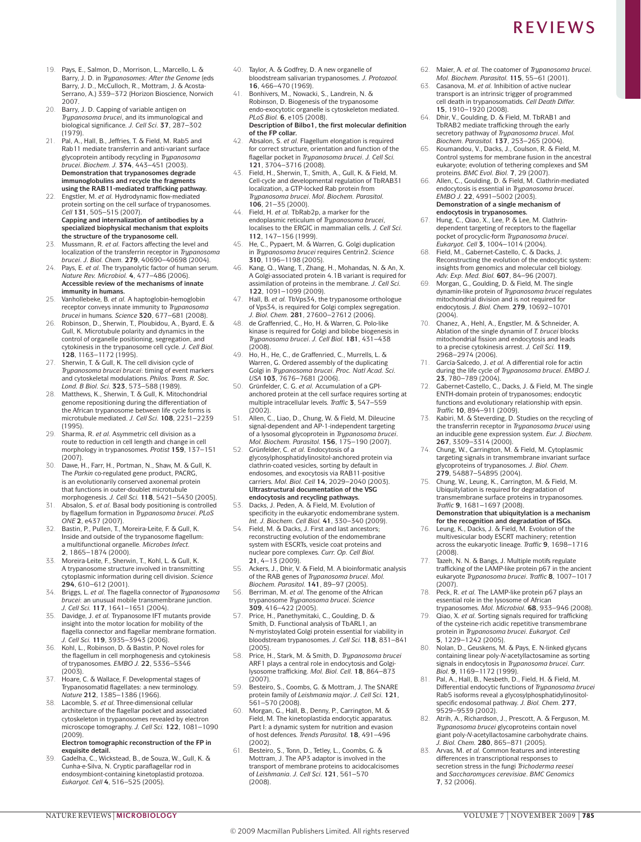- 19. Pays, E., Salmon, D., Morrison, L., Marcello, L. & Barry, J. D. in *Trypanosomes: After the Genome* (eds Barry, J. D., McCulloch, R., Mottram, J. & Acosta-Serrano, A.) 339–372 (Horizon Bioscience, Norwich 2007.
- 20. Barry, J. D. Capping of variable antigen on *Trypanosoma brucei*, and its immunological and biological significance. *J. Cell Sci.* **37**, 287–302 (1979).
- 21. Pal, A., Hall, B., Jeffries, T. & Field, M. Rab5 and Rab11 mediate transferrin and anti-variant surface glycoprotein antibody recycling in *Trypanosoma brucei*. *Biochem. J.* **374**, 443–451 (2003). **Demonstration that trypanosomes degrade immunoglobulins and recycle the fragments using the RAb11-mediated trafficking pathway.**
- 22. Engstler, M. *et al.* Hydrodynamic flow-mediated protein sorting on the cell surface of trypanosomes. *Cell* **131**, 505–515 (2007). **Capping and internalization of antibodies by a specialized biophysical mechanism that exploits the structure of the trypanosome cell.**
- Mussmann, R. *et al.* Factors affecting the level and localization of the transferrin receptor in *Trypanosoma brucei*. *J. Biol. Chem.* **279**, 40690–40698 (2004).
- 24. Pays, E*. et al.* The trypanolytic factor of human serum. *Nature Rev. Microbiol.* **4**, 477–486 (2006). **Accessible review of the mechanisms of innate immunity in humans.**
- 25. Vanhollebeke, B. *et al.* A haptoglobin-hemoglobin receptor conveys innate immunity to *Trypanosoma brucei* in humans. *Science* **320**, 677–681 (2008).
- 26. Robinson, D., Sherwin, T., Ploubidou, A., Byard, E. & Gull, K. Microtubule polarity and dynamics in the control of organelle positioning, segregation, and cytokinesis in the trypanosome cell cycle. *J. Cell Biol.* **128**, 1163–1172 (1995).
- 27. Sherwin, T. & Gull, K. The cell division cycle of *Trypanosoma brucei brucei*: timing of event markers and cytoskeletal modulations. *Philos. Trans. R. Soc. Lond. B Biol. Sci.* **323**, 573–588 (1989).
- 28. Matthews, K., Sherwin, T. & Gull, K. Mitochondrial genome repositioning during the differentiation of the African trypanosome between life cycle forms is microtubule mediated. *J. Cell Sci.* **108**, 2231–2239 (1995).
- 29. Sharma, R. *et al.* Asymmetric cell division as a route to reduction in cell length and change in cell morphology in trypanosomes. *Protist* **159**, 137–151 (2007).
- 30. Dawe, H., Farr, H., Portman, N., Shaw, M. & Gull, K. The *Parkin* co-regulated gene product, PACRG, is an evolutionarily conserved axonemal protein that functions in outer-doublet microtubule morphogenesis. *J. Cell Sci.* **118**, 5421–5430 (2005).
- 31. Absalon, S. *et al.* Basal body positioning is controlled by flagellum formation in *Trypanosoma brucei*. *PLoS ONE* **2**, e437 (2007).
- 32. Bastin, P., Pullen, T., Moreira-Leite, F. & Gull, K. Inside and outside of the trypanosome flagellum: a multifunctional organelle. *Microbes Infect.* **2**, 1865–1874 (2000).
- 33. Moreira-Leite, F., Sherwin, T., Kohl, L. & Gull, K. A trypanosome structure involved in transmitting cytoplasmic information during cell division. *Science* **294**, 610–612 (2001).
- 34. Briggs, L. *et al.* The flagella connector of *Trypanosoma brucei*: an unusual mobile transmembrane junction. *J. Cell Sci.* **117**, 1641–1651 (2004).
- 35. Davidge, J. *et al.* Trypanosome IFT mutants provide insight into the motor location for mobility of the flagella connector and flagellar membrane formation. *J. Cell Sci.* **119**, 3935–3943 (2006).
- 36. Kohl, L., Robinson, D. & Bastin, P. Novel roles for the flagellum in cell morphogenesis and cytokinesis of trypanosomes. *EMBO J.* **22**, 5336–5346 (2003).
- 37. Hoare, C. & Wallace, F. Developmental stages of Trypanosomatid flagellates: a new terminology. *Nature* **212**, 1385–1386 (1966).
- 38. Lacomble, S. *et al.* Three-dimensional cellular architecture of the flagellar pocket and associated cytoskeleton in trypanosomes revealed by electron microscope tomography. *J. Cell Sci.* **122**, 1081–1090 (2009).

### **Electron tomographic reconstruction of the FP in exquisite detail.**

39. Gadelha, C., Wickstead, B., de Souza, W., Gull, K. & Cunha-e-Silva, N. Cryptic paraflagellar rod in endosymbiont-containing kinetoplastid protozoa. *Eukaryot. Cell* **4**, 516–525 (2005).

- Taylor, A. & Godfrey, D. A new organelle of bloodstream salivarian trypanosomes. *J. Protozool.*  **16**, 466–470 (1969).
- 41. Bonhivers, M., Nowacki, S., Landrein, N. & Robinson, D. Biogenesis of the trypanosome endo-exocytotic organelle is cytoskeleton mediated. *PLoS Biol.* **6**, e105 (2008). **Description of bilbo1, the first molecular definition of the FP collar.**
- 42. Absalon, S. *et al.* Flagellum elongation is required for correct structure, orientation and function of the flagellar pocket in *Trypanosoma brucei*. *J. Cell Sci.* **121**, 3704–3716 (2008).
- 43. Field, H., Sherwin, T., Smith, A., Gull, K. & Field, M. Cell-cycle and developmental regulation of TbRAB31 localization, a GTP-locked Rab protein from *Trypanosoma brucei*. *Mol. Biochem. Parasitol.* **106**, 21–35 (2000).
- 44. Field, H. *et al.* TbRab2p, a marker for the endoplasmic reticulum of *Trypanosoma brucei*, localises to the ERGIC in mammalian cells. *J. Cell Sci.* **112**, 147–156 (1999).
- He, C., Pypaert, M. & Warren, G. Golgi duplication in *Trypanosoma brucei* requires Centrin2. *Science* **310**, 1196–1198 (2005).
- 46. Kang, Q., Wang, T., Zhang, H., Mohandas, N. & An, X. A Golgi-associated protein 4.1B variant is required for assimilation of proteins in the membrane. *J. Cell Sci.* **122**, 1091–1099 (2009).
- Hall, B. et al. TbVps34, the trypanosome orthologue of Vps34, is required for Golgi complex segregation. *J. Biol. Chem.* **281**, 27600–27612 (2006).
- 48. de Graffenried, C., Ho, H. & Warren, G. Polo-like kinase is required for Golgi and bilobe biogenesis in *Trypanosoma brucei*. *J. Cell Biol.* **181**, 431–438 (2008).
- 49. Ho, H., He, C., de Graffenried, C., Murrells, L. & Warren, G. Ordered assembly of the duplicating Golgi in *Trypanosoma brucei*. *Proc. Natl Acad. Sci. USA* **103**, 7676–7681 (2006).
- 50. Grünfelder, C. G. *et al.* Accumulation of a GPIanchored protein at the cell surface requires sorting at multiple intracellular levels. *Traffic* **3**, 547–559 (2002).
- 51. Allen, C., Liao, D., Chung, W. & Field, M. Dileucine signal-dependent and AP-1-independent targeting of a lysosomal glycoprotein in *Trypanosoma brucei*. *Mol. Biochem. Parasitol.* **156**, 175–190 (2007).
- 52. Grünfelder, C. *et al.* Endocytosis of a glycosylphosphatidylinositol-anchored protein via clathrin-coated vesicles, sorting by default in endosomes, and exocytosis via RAB11-positive carriers. *Mol. Biol. Cell* **14**, 2029–2040 (2003). **Ultrastructural documentation of the VSG**
- **endocytosis and recycling pathways.** 53. Dacks, J. Peden, A. & Field, M. Evolution of specificity in the eukaryotic endomembrane system. *Int. J. Biochem. Cell Biol.* **41**, 330–340 (2009).
- 54. Field, M. & Dacks, J. First and last ancestors; reconstructing evolution of the endomembrane system with ESCRTs, vesicle coat proteins and nuclear pore complexes. *Curr. Op. Cell Biol.* **21**, 4–13 (2009).
- 55. Ackers, J., Dhir, V. & Field, M. A bioinformatic analysis of the RAB genes of *Trypanosoma brucei*. *Mol. Biochem. Parasitol.* **141**, 89–97 (2005).
- 56. Berriman, M. *et al.* The genome of the African trypanosome *Trypanosoma brucei*. *Science* **309**, 416–422 (2005).
- 57. Price, H., Panethymitaki, C., Goulding, D. & Smith, D. Functional analysis of TbARL1, an N-myristoylated Golgi protein essential for viability in bloodstream trypanosomes. *J. Cell Sci.* **118**, 831–841 (2005).
- 58. Price, H., Stark, M. & Smith, D. *Trypanosoma brucei* ARF1 plays a central role in endocytosis and Golgi-lysosome trafficking. *Mol. Biol. Cell.* **18**, 864–873  $(2007)$
- 59. Besteiro, S., Coombs, G. & Mottram, J. The SNARE protein family of *Leishmania major*. *J. Cell Sci.* **121**, 561–570 (2008).
- 60. Morgan, G., Hall, B., Denny, P., Carrington, M. & Field, M. The kinetoplastida endocytic apparatus. Part I: a dynamic system for nutrition and evasion of host defences. *Trends Parasitol.* **18**, 491–496 (2002).
- 61. Besteiro, S., Tonn, D., Tetley, L., Coombs, G. & Mottram, J. The AP3 adaptor is involved in the transport of membrane proteins to acidocalcisomes of *Leishmania*. *J. Cell Sci.* **121**, 561–570 (2008).
- 62. Maier, A. *et al.* The coatomer of *Trypanosoma brucei*.
- *Mol. Biochem. Parasitol.* **115**, 55–61 (2001). 63. Casanova, M. *et al.* Inhibition of active nuclear transport is an intrinsic trigger of programmed cell death in trypanosomatids. *Cell Death Differ.* **15**, 1910–1920 (2008).
- 64. Dhir, V., Goulding, D. & Field, M. TbRAB1 and TbRAB2 mediate trafficking through the early secretory pathway of *Trypanosoma brucei*. *Mol. Biochem. Parasitol.* **137**, 253–265 (2004).
- 65. Koumandou, V., Dacks, J., Coulson, R. & Field, M. Control systems for membrane fusion in the ancestral eukaryote; evolution of tethering complexes and SM proteins. *BMC Evol. Biol.* **7**, 29 (2007).
- 66. Allen, C., Goulding, D. & Field, M. Clathrin-mediated endocytosis is essential in *Trypanosoma brucei*. *EMBO J.* **22**, 4991–5002 (2003). **Demonstration of a single mechanism of**
- **endocytosis in trypanosomes.**
- 67. Hung, C., Qiao, X., Lee, P. & Lee, M. Clathrindependent targeting of receptors to the flagellar pocket of procyclic-form *Trypanosoma brucei*. *Eukaryot. Cell* **3**, 1004–1014 (2004).
- 68. Field, M., Gabernet-Castello, C. & Dacks, J. Reconstructing the evolution of the endocytic system: insights from genomics and molecular cell biology. *Adv. Exp. Med. Biol.* **607**, 84–96 (2007).
- 69. Morgan, G., Goulding, D. & Field, M. The single dynamin-like protein of *Trypanosoma brucei* regulates mitochondrial division and is not required for endocytosis. *J. Biol. Chem.* **279**, 10692–10701 (2004).
- 70. Chanez, A., Hehl, A., Engstler, M. & Schneider, A. Ablation of the single dynamin of *T. brucei* blocks mitochondrial fission and endocytosis and leads to a precise cytokinesis arrest. *J. Cell Sci.* **119**, 2968–2974 (2006).
- 71. García-Salcedo, J. *et al.* A differential role for actin during the life cycle of *Trypanosoma brucei*. *EMBO J.* **23**, 780–789 (2004).
- Gabernet-Castello, C., Dacks, J. & Field, M. The single ENTH-domain protein of trypanosomes; endocytic functions and evolutionary relationship with epsin. *Traffic* **10**, 894–911 (2009).
- Kabiri, M. & Steverding, D. Studies on the recycling of the transferrin receptor in *Trypanosoma brucei* using an inducible gene expression system. *Eur. J. Biochem.* **267**, 3309–3314 (2000).
- 74. Chung, W., Carrington, M. & Field, M. Cytoplasmic targeting signals in transmembrane invariant surface glycoproteins of trypanosomes. *J. Biol. Chem.* **279**, 54887–54895 (2004).
- 75. Chung, W., Leung, K., Carrington, M. & Field, M. Ubiquitylation is required for degradation of transmembrane surface proteins in trypanosomes. *Traffic* **9**, 1681–1697 (2008). **Demonstration that ubiquitylation is a mechanism for the recognition and degradation of ISGs.**
- 76. Leung, K., Dacks, J. & Field, M. Evolution of the multivesicular body ESCRT machinery; retention across the eukaryotic lineage. *Traffic* **9**, 1698–1716  $(2008)$
- 77. Tazeh, N. N. & Bangs, J. Multiple motifs regulate trafficking of the LAMP-like protein p67 in the ancient eukaryote *Trypanosoma brucei*. *Traffic* **8**, 1007–1017 (2007).
- 78. Peck, R. *et al.* The LAMP-like protein p67 plays an essential role in the lysosome of African trypanosomes. *Mol. Microbiol.* **68**, 933–946 (2008).
- 79. Qiao, X. *et al.* Sorting signals required for trafficking of the cysteine-rich acidic repetitive transmembrane protein in *Trypanosoma brucei*. *Eukaryot. Cell* **5**, 1229–1242 (2005).
- 80. Nolan, D., Geuskens, M. & Pays, E. N-linked glycans containing linear poly-*N*-acetyllactosamine as sorting signals in endocytosis in *Trypanosoma brucei*. *Curr. Biol.* **9**, 1169–1172 (1999).
- 81. Pal, A., Hall, B., Nesbeth, D., Field, H. & Field, M. Differential endocytic functions of *Trypanosoma brucei* Rab5 isoforms reveal a glycosylphosphatidylinositolspecific endosomal pathway. *J. Biol. Chem.* **277**, 9529–9539 (2002).
- Atrih, A., Richardson, J., Prescott, A. & Ferguson, M. *Trypanosoma brucei* glycoproteins contain novel giant poly-*N*-acetyllactosamine carbohydrate chains. *J. Biol. Chem.* **280**, 865–871 (2005).
- 83. Arvas, M. *et al.* Common features and interesting differences in transcriptional responses to secretion stress in the fungi *Trichoderma reesei* and *Saccharomyces cerevisiae*. *BMC Genomics* **7**, 32 (2006).